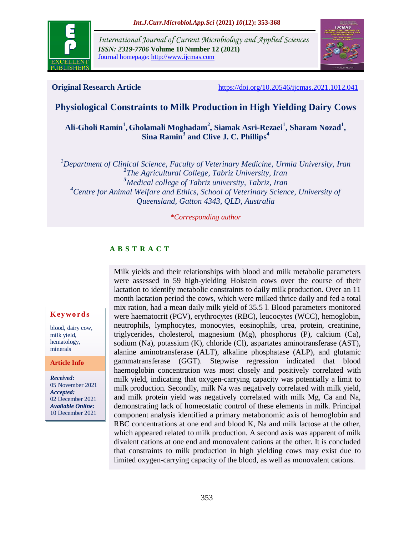

*International Journal of Current Microbiology and Applied Sciences ISSN: 2319-7706* **Volume 10 Number 12 (2021)**  Journal homepage: http://www.ijcmas.com



**Original Research Article** <https://doi.org/10.20546/ijcmas.2021.1012.041>

# **Physiological Constraints to Milk Production in High Yielding Dairy Cows**

# **Ali-Gholi Ramin<sup>1</sup> , Gholamali Moghadam<sup>2</sup> , Siamak Asri-Rezaei<sup>1</sup> , Sharam Nozad<sup>1</sup> , Sina Ramin<sup>3</sup> and Clive J. C. Phillips<sup>4</sup>**

*Department of Clinical Science, Faculty of Veterinary Medicine, Urmia University, Iran The Agricultural College, Tabriz University, Iran Medical college of Tabriz university, Tabriz, Iran Centre for Animal Welfare and Ethics, School of Veterinary Science, University of Queensland, Gatton 4343, QLD, Australia*

#### *\*Corresponding author*

# **A B S T R A C T**

**K ey w o rd s**

blood, dairy cow, milk yield, hematology, minerals

#### **Article Info**

*Received:* 05 November 2021 *Accepted:* 02 December 2021 *Available Online:* 10 December 2021

Milk yields and their relationships with blood and milk metabolic parameters were assessed in 59 high-yielding Holstein cows over the course of their lactation to identify metabolic constraints to daily milk production. Over an 11 month lactation period the cows, which were milked thrice daily and fed a total mix ration, had a mean daily milk yield of 35.5 l. Blood parameters monitored were haematocrit (PCV), erythrocytes (RBC), leucocytes (WCC), hemoglobin, neutrophils, lymphocytes, monocytes, eosinophils, urea, protein, creatinine, triglycerides, cholesterol, magnesium (Mg), phosphorus (P), calcium (Ca), sodium (Na), potassium (K), chloride (Cl), aspartates aminotransferase (AST), alanine aminotransferase (ALT), alkaline phosphatase (ALP), and glutamic gammatransferase (GGT). Stepwise regression indicated that blood haemoglobin concentration was most closely and positively correlated with milk yield, indicating that oxygen-carrying capacity was potentially a limit to milk production. Secondly, milk Na was negatively correlated with milk yield, and milk protein yield was negatively correlated with milk Mg, Ca and Na, demonstrating lack of homeostatic control of these elements in milk. Principal component analysis identified a primary metabonomic axis of hemoglobin and RBC concentrations at one end and blood K, Na and milk lactose at the other, which appeared related to milk production. A second axis was apparent of milk divalent cations at one end and monovalent cations at the other. It is concluded that constraints to milk production in high yielding cows may exist due to limited oxygen-carrying capacity of the blood, as well as monovalent cations.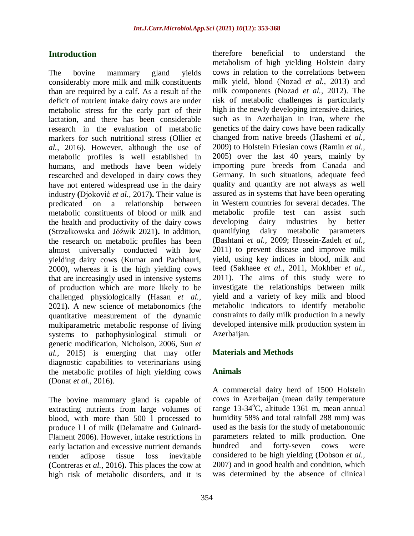# **Introduction**

The bovine mammary gland yields considerably more milk and milk constituents than are required by a calf. As a result of the deficit of nutrient intake dairy cows are under metabolic stress for the early part of their lactation, and there has been considerable research in the evaluation of metabolic markers for such nutritional stress (Ollier *et al.,* 2016). However, although the use of metabolic profiles is well established in humans, and methods have been widely researched and developed in dairy cows they have not entered widespread use in the dairy industry **(**Djoković *et al.,* 2017**).** Their value is predicated on a relationship between metabolic constituents of blood or milk and the health and productivity of the dairy cows **(**Strzałkowska and Jóźwik 2021**).** In addition, the research on metabolic profiles has been almost universally conducted with low yielding dairy cows (Kumar and Pachhauri, 2000), whereas it is the high yielding cows that are increasingly used in intensive systems of production which are more likely to be challenged physiologically **(**Hasan *et al.,* 2021**).** A new science of metabonomics (the quantitative measurement of the dynamic multiparametric metabolic response of living systems to pathophysiological stimuli or genetic modification, Nicholson, 2006, Sun *et al.,* 2015) is emerging that may offer diagnostic capabilities to veterinarians using the metabolic profiles of high yielding cows (Donat *et al.,* 2016).

The bovine mammary gland is capable of extracting nutrients from large volumes of blood, with more than 500 l processed to produce l l of milk **(**Delamaire and Guinard-Flament 2006). However, intake restrictions in early lactation and excessive nutrient demands render adipose tissue loss inevitable **(**Contreras *et al.,* 2016**).** This places the cow at high risk of metabolic disorders, and it is

therefore beneficial to understand the metabolism of high yielding Holstein dairy cows in relation to the correlations between milk yield, blood (Nozad *et al.,* 2013) and milk components (Nozad *et al.,* 2012). The risk of metabolic challenges is particularly high in the newly developing intensive dairies, such as in Azerbaijan in Iran, where the genetics of the dairy cows have been radically changed from native breeds (Hashemi *et al.,* 2009) to Holstein Friesian cows (Ramin *et al.,* 2005) over the last 40 years, mainly by importing pure breeds from Canada and Germany. In such situations, adequate feed quality and quantity are not always as well assured as in systems that have been operating in Western countries for several decades. The metabolic profile test can assist such developing dairy industries by better quantifying dairy metabolic parameters (Bashtani *et al.,* 2009; Hossein-Zadeh *et al.,* 2011) to prevent disease and improve milk yield, using key indices in blood, milk and feed (Sakhaee *et al.,* 2011, Mokhber *et al.,* 2011). The aims of this study were to investigate the relationships between milk yield and a variety of key milk and blood metabolic indicators to identify metabolic constraints to daily milk production in a newly developed intensive milk production system in Azerbaijan.

## **Materials and Methods**

## **Animals**

A commercial dairy herd of 1500 Holstein cows in Azerbaijan (mean daily temperature range  $13-34$ °C, altitude 1361 m, mean annual humidity 58% and total rainfall 288 mm) was used as the basis for the study of metabonomic parameters related to milk production. One hundred and forty-seven cows were considered to be high yielding (Dobson *et al.,* 2007) and in good health and condition, which was determined by the absence of clinical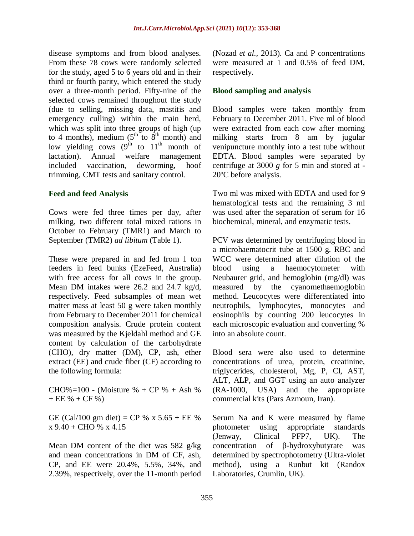disease symptoms and from blood analyses. From these 78 cows were randomly selected for the study, aged 5 to 6 years old and in their third or fourth parity, which entered the study over a three-month period. Fifty-nine of the selected cows remained throughout the study (due to selling, missing data, mastitis and emergency culling) within the main herd, which was split into three groups of high (up to 4 months), medium  $(5^{th}$  to  $8^{th}$  month) and low yielding cows  $(9^{th}$  to  $11^{th}$  month of lactation). Annual welfare management included vaccination, deworming, hoof trimming, CMT tests and sanitary control.

## **Feed and feed Analysis**

Cows were fed three times per day, after milking, two different total mixed rations in October to February (TMR1) and March to September (TMR2) *ad libitum* (Table 1).

These were prepared in and fed from 1 ton feeders in feed bunks (EzeFeed, Australia) with free access for all cows in the group. Mean DM intakes were 26.2 and 24.7 kg/d, respectively. Feed subsamples of mean wet matter mass at least 50 g were taken monthly from February to December 2011 for chemical composition analysis. Crude protein content was measured by the Kjeldahl method and GE content by calculation of the carbohydrate (CHO), dry matter (DM), CP, ash, ether extract (EE) and crude fiber (CF) according to the following formula:

CHO%=100 - (Moisture % + CP % + Ash %)  $+EE \% + CF \%$ 

GE (Cal/100 gm diet) = CP % x 5.65 + EE %  $x$  9.40 + CHO %  $x$  4.15

Mean DM content of the diet was 582 g/kg and mean concentrations in DM of CF, ash, CP, and EE were 20.4%, 5.5%, 34%, and 2.39%, respectively, over the 11-month period (Nozad *et al.,* 2013). Ca and P concentrations were measured at 1 and 0.5% of feed DM, respectively.

## **Blood sampling and analysis**

Blood samples were taken monthly from February to December 2011. Five ml of blood were extracted from each cow after morning milking starts from 8 am by jugular venipuncture monthly into a test tube without EDTA. Blood samples were separated by centrifuge at 3000 *g* for 5 min and stored at - 20ºC before analysis.

Two ml was mixed with EDTA and used for 9 hematological tests and the remaining 3 ml was used after the separation of serum for 16 biochemical, mineral, and enzymatic tests.

PCV was determined by centrifuging blood in a microhaematocrit tube at 1500 g. RBC and WCC were determined after dilution of the blood using a haemocytometer with Neubaurer grid, and hemoglobin (mg/dl) was measured by the cyanomethaemoglobin method. Leucocytes were differentiated into neutrophils, lymphocytes, monocytes and eosinophils by counting 200 leucocytes in each microscopic evaluation and converting % into an absolute count.

Blood sera were also used to determine concentrations of urea, protein, creatinine, triglycerides, cholesterol, Mg, P, Cl, AST, ALT, ALP, and GGT using an auto analyzer (RA-1000, USA) and the appropriate commercial kits (Pars Azmoun, Iran).

Serum Na and K were measured by flame photometer using appropriate standards (Jenway, Clinical PFP7, UK). The concentration of β-hydroxybutyrate was determined by spectrophotometry (Ultra-violet method), using a Runbut kit (Randox Laboratories, Crumlin, UK).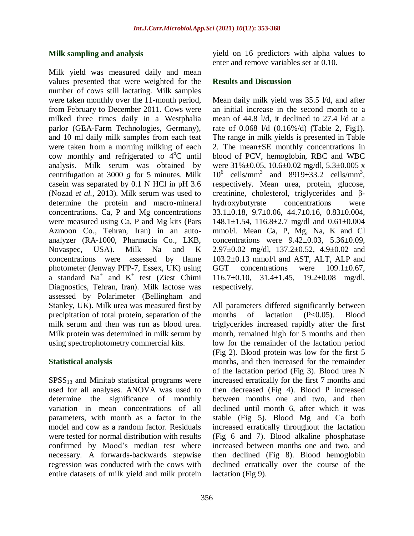#### **Milk sampling and analysis**

Milk yield was measured daily and mean values presented that were weighted for the number of cows still lactating. Milk samples were taken monthly over the 11-month period, from February to December 2011. Cows were milked three times daily in a Westphalia parlor (GEA-Farm Technologies, Germany), and 10 ml daily milk samples from each teat were taken from a morning milking of each cow monthly and refrigerated to  $4^{\circ}$ C until analysis. Milk serum was obtained by centrifugation at 3000 *g* for 5 minutes. Milk casein was separated by 0.1 N HCl in pH 3.6 (Nozad *et al.,* 2013). Milk serum was used to determine the protein and macro-mineral concentrations. Ca, P and Mg concentrations were measured using Ca, P and Mg kits (Pars Azmoon Co., Tehran, Iran) in an autoanalyzer (RA-1000, Pharmacia Co., LKB, Novaspec, USA). Milk Na and K concentrations were assessed by flame photometer (Jenway PFP-7, Essex, UK) using a standard  $Na^+$  and  $K^+$  test (Ziest Chimi Diagnostics, Tehran, Iran). Milk lactose was assessed by Polarimeter (Bellingham and Stanley, UK). Milk urea was measured first by precipitation of total protein, separation of the milk serum and then was run as blood urea. Milk protein was determined in milk serum by using spectrophotometry commercial kits.

### **Statistical analysis**

 $SPSS<sub>13</sub>$  and Minitab statistical programs were used for all analyses. ANOVA was used to determine the significance of monthly variation in mean concentrations of all parameters, with month as a factor in the model and cow as a random factor. Residuals were tested for normal distribution with results confirmed by Mood's median test where necessary. A forwards-backwards stepwise regression was conducted with the cows with entire datasets of milk yield and milk protein yield on 16 predictors with alpha values to enter and remove variables set at 0.10.

### **Results and Discussion**

Mean daily milk yield was 35.5 l/d, and after an initial increase in the second month to a mean of 44.8 l/d, it declined to 27.4 l/d at a rate of 0.068 l/d (0.16%/d) (Table 2, Fig1). The range in milk yields is presented in Table 2. The mean±SE monthly concentrations in blood of PCV, hemoglobin, RBC and WBC were  $31\% \pm 0.05$ ,  $10.6 \pm 0.02$  mg/dl,  $5.3 \pm 0.005$  x  $10^6$  cells/mm<sup>3</sup> and 8919 $\pm$ 33.2 cells/mm<sup>3</sup>, respectively. Mean urea, protein, glucose, creatinine, cholesterol, triglycerides and βhydroxybutyrate concentrations were 33.1±0.18, 9.7±0.06, 44.7±0.16, 0.83±0.004, 148.1±1.54, 116.8±2.7 mg/dl and 0.61±0.004 mmol/l. Mean Ca, P, Mg, Na, K and Cl concentrations were  $9.42 \pm 0.03$ ,  $5.36 \pm 0.09$ , 2.97±0.02 mg/dl, 137.2±0.52, 4.9±0.02 and 103.2±0.13 mmol/l and AST, ALT, ALP and GGT concentrations were  $109.1 \pm 0.67$ , 116.7±0.10, 31.4±1.45, 19.2±0.08 mg/dl, respectively.

All parameters differed significantly between months of lactation (P<0.05). Blood triglycerides increased rapidly after the first month, remained high for 5 months and then low for the remainder of the lactation period (Fig 2). Blood protein was low for the first 5 months, and then increased for the remainder of the lactation period (Fig 3). Blood urea N increased erratically for the first 7 months and then decreased (Fig 4). Blood P increased between months one and two, and then declined until month 6, after which it was stable (Fig 5). Blood Mg and Ca both increased erratically throughout the lactation (Fig 6 and 7). Blood alkaline phosphatase increased between months one and two, and then declined (Fig 8). Blood hemoglobin declined erratically over the course of the lactation (Fig 9).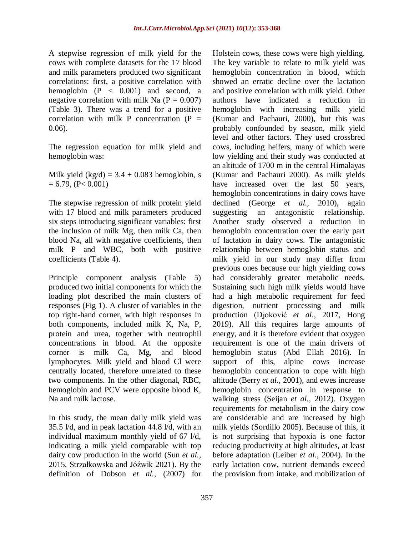A stepwise regression of milk yield for the cows with complete datasets for the 17 blood and milk parameters produced two significant correlations: first, a positive correlation with hemoglobin  $(P < 0.001)$  and second, a negative correlation with milk Na  $(P = 0.007)$ (Table 3). There was a trend for a positive correlation with milk P concentration  $(P =$ 0.06).

The regression equation for milk yield and hemoglobin was:

Milk yield  $(kg/d) = 3.4 + 0.083$  hemoglobin, s  $= 6.79$ ,  $(P< 0.001)$ 

The stepwise regression of milk protein yield with 17 blood and milk parameters produced six steps introducing significant variables: first the inclusion of milk Mg, then milk Ca, then blood Na, all with negative coefficients, then milk P and WBC, both with positive coefficients (Table 4).

Principle component analysis (Table 5) produced two initial components for which the loading plot described the main clusters of responses (Fig 1). A cluster of variables in the top right-hand corner, with high responses in both components, included milk K, Na, P, protein and urea, together with neutrophil concentrations in blood. At the opposite corner is milk Ca, Mg, and blood lymphocytes. Milk yield and blood Cl were centrally located, therefore unrelated to these two components. In the other diagonal, RBC, hemoglobin and PCV were opposite blood K, Na and milk lactose.

In this study, the mean daily milk yield was 35.5 l/d, and in peak lactation 44.8 l/d, with an individual maximum monthly yield of 67 l/d, indicating a milk yield comparable with top dairy cow production in the world (Sun *et al.,* 2015, Strzałkowska and Jóźwik 2021). By the definition of Dobson *et al.,* (2007) for Holstein cows, these cows were high yielding. The key variable to relate to milk yield was hemoglobin concentration in blood, which showed an erratic decline over the lactation and positive correlation with milk yield. Other authors have indicated a reduction in hemoglobin with increasing milk yield (Kumar and Pachauri, 2000), but this was probably confounded by season, milk yield level and other factors. They used crossbred cows, including heifers, many of which were low yielding and their study was conducted at an altitude of 1700 m in the central Himalayas (Kumar and Pachauri 2000). As milk yields have increased over the last 50 years, hemoglobin concentrations in dairy cows have declined (George *et al.,* 2010), again suggesting an antagonistic relationship. Another study observed a reduction in hemoglobin concentration over the early part of lactation in dairy cows. The antagonistic relationship between hemoglobin status and milk yield in our study may differ from previous ones because our high yielding cows had considerably greater metabolic needs. Sustaining such high milk yields would have had a high metabolic requirement for feed digestion, nutrient processing and milk production (Djoković *et al.,* 2017, Hong 2019). All this requires large amounts of energy, and it is therefore evident that oxygen requirement is one of the main drivers of hemoglobin status (Abd Ellah 2016). In support of this, alpine cows increase hemoglobin concentration to cope with high altitude (Berry *et al.,* 2001), and ewes increase hemoglobin concentration in response to walking stress (Seijan *et al.,* 2012). Oxygen requirements for metabolism in the dairy cow are considerable and are increased by high milk yields (Sordillo 2005). Because of this, it is not surprising that hypoxia is one factor reducing productivity at high altitudes, at least before adaptation (Leiber *et al.,* 2004). In the early lactation cow, nutrient demands exceed the provision from intake, and mobilization of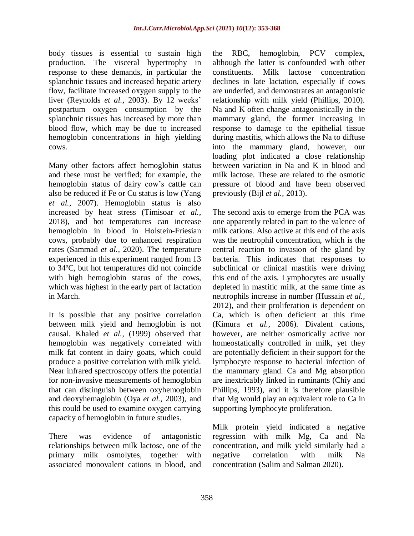body tissues is essential to sustain high production. The visceral hypertrophy in response to these demands, in particular the splanchnic tissues and increased hepatic artery flow, facilitate increased oxygen supply to the liver (Reynolds *et al.,* 2003). By 12 weeks' postpartum oxygen consumption by the splanchnic tissues has increased by more than blood flow, which may be due to increased hemoglobin concentrations in high yielding cows.

Many other factors affect hemoglobin status and these must be verified; for example, the hemoglobin status of dairy cow's cattle can also be reduced if Fe or Cu status is low (Yang *et al.,* 2007). Hemoglobin status is also increased by heat stress (Timisoar *et al.,* 2018), and hot temperatures can increase hemoglobin in blood in Holstein-Friesian cows, probably due to enhanced respiration rates (Sammad *et al.,* 2020). The temperature experienced in this experiment ranged from 13 to 34ºC, but hot temperatures did not coincide with high hemoglobin status of the cows, which was highest in the early part of lactation in March.

It is possible that any positive correlation between milk yield and hemoglobin is not causal. Khaled *et al.,* (1999) observed that hemoglobin was negatively correlated with milk fat content in dairy goats, which could produce a positive correlation with milk yield. Near infrared spectroscopy offers the potential for non-invasive measurements of hemoglobin that can distinguish between oxyhemoglobin and deoxyhemaglobin (Oya *et al.,* 2003), and this could be used to examine oxygen carrying capacity of hemoglobin in future studies.

There was evidence of antagonistic relationships between milk lactose, one of the primary milk osmolytes, together with associated monovalent cations in blood, and the RBC, hemoglobin, PCV complex, although the latter is confounded with other constituents. Milk lactose concentration declines in late lactation, especially if cows are underfed, and demonstrates an antagonistic relationship with milk yield (Phillips, 2010). Na and K often change antagonistically in the mammary gland, the former increasing in response to damage to the epithelial tissue during mastitis, which allows the Na to diffuse into the mammary gland, however, our loading plot indicated a close relationship between variation in Na and K in blood and milk lactose. These are related to the osmotic pressure of blood and have been observed previously (Bijl *et al.,* 2013).

The second axis to emerge from the PCA was one apparently related in part to the valence of milk cations. Also active at this end of the axis was the neutrophil concentration, which is the central reaction to invasion of the gland by bacteria. This indicates that responses to subclinical or clinical mastitis were driving this end of the axis. Lymphocytes are usually depleted in mastitic milk, at the same time as neutrophils increase in number (Hussain *et al.,* 2012), and their proliferation is dependent on Ca, which is often deficient at this time (Kimura *et al.,* 2006). Divalent cations, however, are neither osmotically active nor homeostatically controlled in milk, yet they are potentially deficient in their support for the lymphocyte response to bacterial infection of the mammary gland. Ca and Mg absorption are inextricably linked in ruminants (Chiy and Phillips, 1993), and it is therefore plausible that Mg would play an equivalent role to Ca in supporting lymphocyte proliferation.

Milk protein yield indicated a negative regression with milk Mg, Ca and Na concentration, and milk yield similarly had a negative correlation with milk Na concentration (Salim and Salman 2020).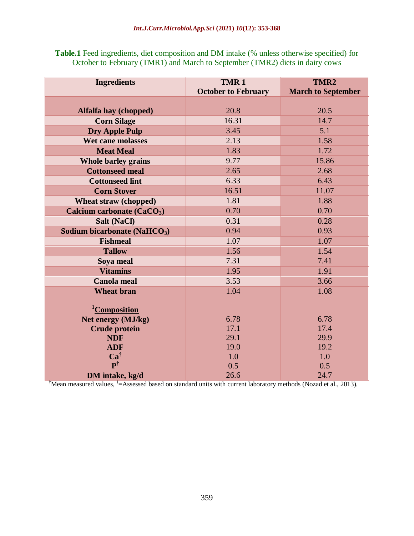**Table.1** Feed ingredients, diet composition and DM intake (% unless otherwise specified) for October to February (TMR1) and March to September (TMR2) diets in dairy cows

| <b>Ingredients</b>                       | TMR <sub>1</sub><br><b>October to February</b> | TMR <sub>2</sub><br><b>March to September</b> |  |
|------------------------------------------|------------------------------------------------|-----------------------------------------------|--|
|                                          |                                                |                                               |  |
| Alfalfa hay (chopped)                    | 20.8                                           | 20.5                                          |  |
| <b>Corn Silage</b>                       | 16.31                                          | 14.7                                          |  |
| <b>Dry Apple Pulp</b>                    | 3.45                                           | 5.1                                           |  |
| <b>Wet cane molasses</b>                 | 2.13                                           | 1.58                                          |  |
| <b>Meat Meal</b>                         | 1.83                                           | 1.72                                          |  |
| <b>Whole barley grains</b>               | 9.77                                           | 15.86                                         |  |
| <b>Cottonseed meal</b>                   | 2.65                                           | 2.68                                          |  |
| <b>Cottonseed lint</b>                   | 6.33                                           | 6.43                                          |  |
| <b>Corn Stover</b>                       | 16.51                                          | 11.07                                         |  |
| Wheat straw (chopped)                    | 1.81                                           | 1.88                                          |  |
| Calcium carbonate (CaCO <sub>3</sub> )   | 0.70                                           | 0.70                                          |  |
| Salt (NaCl)                              | 0.31                                           | 0.28                                          |  |
| Sodium bicarbonate (NaHCO <sub>3</sub> ) | 0.94                                           | 0.93                                          |  |
| <b>Fishmeal</b>                          | 1.07                                           | 1.07                                          |  |
| <b>Tallow</b>                            | 1.56                                           | 1.54                                          |  |
| Soya meal                                | 7.31                                           | 7.41                                          |  |
| <b>Vitamins</b>                          | 1.95                                           | 1.91                                          |  |
| <b>Canola meal</b>                       | 3.53                                           | 3.66                                          |  |
| <b>Wheat bran</b>                        | 1.04                                           | 1.08                                          |  |
| <sup>1</sup> Composition                 |                                                |                                               |  |
| Net energy (MJ/kg)                       | 6.78                                           | 6.78                                          |  |
| <b>Crude protein</b>                     | 17.1                                           | 17.4                                          |  |
| <b>NDF</b>                               | 29.1                                           | 29.9                                          |  |
| <b>ADF</b>                               | 19.0                                           | 19.2                                          |  |
| $Ca^{\dagger}$                           | 1.0                                            | 1.0                                           |  |
| $\mathbf{P}^\dagger$                     | 0.5                                            | 0.5                                           |  |
| DM intake, kg/d                          | 26.6                                           | 24.7                                          |  |

<sup>†</sup>Mean measured values, <sup>1</sup>=Assessed based on standard units with current laboratory methods (Nozad et al., 2013).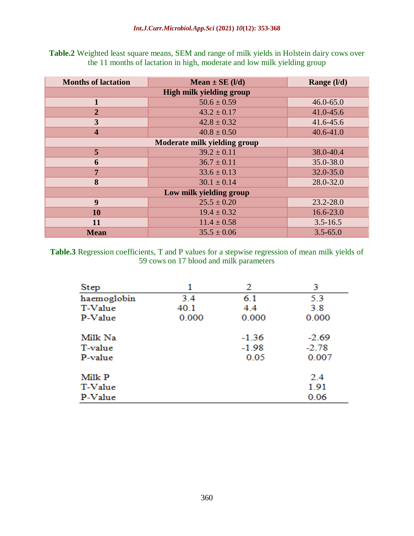**Table.2** Weighted least square means, SEM and range of milk yields in Holstein dairy cows over the 11 months of lactation in high, moderate and low milk yielding group

| <b>Months of lactation</b>      | Mean $\pm$ SE (I/d) | Range (I/d)   |  |  |  |
|---------------------------------|---------------------|---------------|--|--|--|
| <b>High milk yielding group</b> |                     |               |  |  |  |
|                                 | $50.6 \pm 0.59$     | $46.0 - 65.0$ |  |  |  |
| $\overline{2}$                  | $43.2 \pm 0.17$     | 41.0-45.6     |  |  |  |
| 3                               | $42.8 \pm 0.32$     | 41.6-45.6     |  |  |  |
| $\overline{\mathbf{4}}$         | $40.8 \pm 0.50$     | $40.6 - 41.0$ |  |  |  |
| Moderate milk yielding group    |                     |               |  |  |  |
| 5                               | $39.2 \pm 0.11$     | 38.0-40.4     |  |  |  |
| 6                               | $36.7 \pm 0.11$     | 35.0-38.0     |  |  |  |
| $7\phantom{.0}$                 | $33.6 \pm 0.13$     | 32.0-35.0     |  |  |  |
| 8                               | $30.1 \pm 0.14$     | 28.0-32.0     |  |  |  |
| Low milk yielding group         |                     |               |  |  |  |
| $\boldsymbol{9}$                | $25.5 \pm 0.20$     | 23.2-28.0     |  |  |  |
| 10                              | $19.4 \pm 0.32$     | $16.6 - 23.0$ |  |  |  |
| 11                              | $11.4 \pm 0.58$     | $3.5 - 16.5$  |  |  |  |
| <b>Mean</b>                     | $35.5 \pm 0.06$     | $3.5 - 65.0$  |  |  |  |

**Table.3** Regression coefficients, T and P values for a stepwise regression of mean milk yields of 59 cows on 17 blood and milk parameters

| Step        | 1     | 2       | 3       |  |
|-------------|-------|---------|---------|--|
| haemoglobin | 3.4   | 6.1     | 5.3     |  |
| T-Value     | 40.1  | 4.4     | 3.8     |  |
| P-Value     | 0.000 | 0.000   | 0.000   |  |
| Milk Na     |       | $-1.36$ | $-2.69$ |  |
| T-value     |       | $-1.98$ | $-2.78$ |  |
| P-value     |       | 0.05    | 0.007   |  |
| Milk P      |       |         | 2.4     |  |
| T-Value     |       |         | 1.91    |  |
| P-Value     |       |         | 0.06    |  |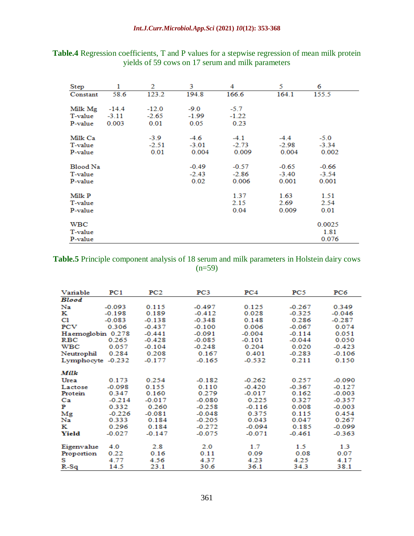| Step     | 1       | 2       | 3       | 4       | 5       | 6       |
|----------|---------|---------|---------|---------|---------|---------|
| Constant | 58.6    | 123.2   | 194.8   | 166.6   | 164.1   | 155.5   |
|          |         |         |         |         |         |         |
| Milk Mg  | $-14.4$ | $-12.0$ | $-9.0$  | $-5.7$  |         |         |
| T-value  | $-3.11$ | $-2.65$ | $-1.99$ | $-1.22$ |         |         |
| P-value  | 0.003   | 0.01    | 0.05    | 0.23    |         |         |
| Milk Ca  |         | $-3.9$  | $-4.6$  | $-4.1$  | $-4.4$  | $-5.0$  |
| T-value  |         | $-2.51$ | $-3.01$ | $-2.73$ | $-2.98$ | $-3.34$ |
| P-value  |         | 0.01    | 0.004   | 0.009   | 0.004   | 0.002   |
|          |         |         |         |         |         |         |
| Blood Na |         |         | $-0.49$ | $-0.57$ | $-0.65$ | $-0.66$ |
| T-value  |         |         | $-2.43$ | $-2.86$ | $-3.40$ | $-3.54$ |
| P-value  |         |         | 0.02    | 0.006   | 0.001   | 0.001   |
| Milk P   |         |         |         | 1.37    | 1.63    | 1.51    |
|          |         |         |         | 2.15    | 2.69    |         |
| T-value  |         |         |         |         |         | 2.54    |
| P-value  |         |         |         | 0.04    | 0.009   | 0.01    |
| WBC      |         |         |         |         |         | 0.0025  |
| T-value  |         |         |         |         |         | 1.81    |
| P-value  |         |         |         |         |         | 0.076   |

# **Table.4** Regression coefficients, T and P values for a stepwise regression of mean milk protein yields of 59 cows on 17 serum and milk parameters

**Table.5** Principle component analysis of 18 serum and milk parameters in Holstein dairy cows  $(n=59)$ 

| Variable          | PC1      | PC2      | PC3      | PC4      | PC5      | PC6      |
|-------------------|----------|----------|----------|----------|----------|----------|
| <b>Blood</b>      |          |          |          |          |          |          |
| Na                | $-0.093$ | 0.115    | $-0.497$ | 0.125    | $-0.267$ | 0.349    |
| ĸ                 | $-0.198$ | 0.189    | $-0.412$ | 0.028    | $-0.325$ | $-0.046$ |
| Cl                | $-0.083$ | $-0.138$ | $-0.348$ | 0.148    | 0.286    | $-0.287$ |
| PCV               | 0.306    | $-0.437$ | $-0.100$ | 0.006    | $-0.067$ | 0.074    |
| Haemoglobin 0.278 |          | $-0.441$ | $-0.091$ | $-0.004$ | $-0.114$ | 0.051    |
| <b>RBC</b>        | 0.265    | $-0.428$ | $-0.085$ | $-0.101$ | $-0.044$ | 0.050    |
| <b>WBC</b>        | 0.057    | $-0.104$ | $-0.248$ | 0.204    | 0.020    | $-0.423$ |
| Neutrophil        | 0.284    | 0.208    | 0.167    | 0.401    | $-0.283$ | $-0.106$ |
| Lymphocyte -0.232 |          | $-0.177$ | $-0.165$ | $-0.532$ | 0.211    | 0.150    |
| Milk              |          |          |          |          |          |          |
| Urea              | 0.173    | 0.254    | $-0.182$ | $-0.262$ | 0.257    | $-0.090$ |
| Lactose           | $-0.098$ | 0.155    | 0.110    | $-0.420$ | $-0.367$ | $-0.127$ |
| Protein           | 0.347    | 0.160    | 0.279    | $-0.017$ | 0.162    | $-0.003$ |
| Ca                | $-0.214$ | $-0.017$ | $-0.080$ | 0.225    | 0.327    | $-0.357$ |
| Р                 | 0.332    | 0.260    | $-0.258$ | $-0.116$ | 0.008    | $-0.003$ |
| Mg                | $-0.226$ | $-0.081$ | $-0.048$ | 0.375    | 0.115    | 0.454    |
| Na                | 0.333    | 0.184    | $-0.205$ | 0.043    | 0.047    | 0.267    |
| к                 | 0.296    | 0.184    | $-0.272$ | $-0.094$ | 0.185    | $-0.099$ |
| Yield             | $-0.027$ | $-0.147$ | $-0.075$ | $-0.071$ | $-0.461$ | $-0.363$ |
| Eigenvalue        | 4.0      | 2.8      | 2.0      | 1.7      | 1.5      | 1.3      |
| Proportion        | 0.22     | 0.16     | 0.11     | 0.09     | 0.08     | 0.07     |
| s                 | 4.77     | 4.56     | 4.37     | 4.23     | 4.25     | 4.17     |
| $R-Sq$            | 14.5     | 23.1     | 30.6     | 36.1     | 34.3     | 38.1     |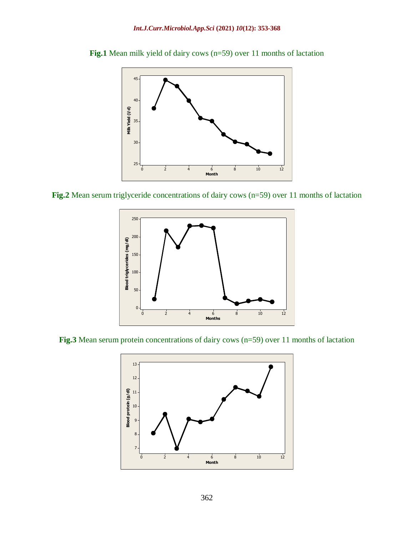

**Fig.1** Mean milk yield of dairy cows (n=59) over 11 months of lactation

**Fig.2** Mean serum triglyceride concentrations of dairy cows (n=59) over 11 months of lactation



**Fig.3** Mean serum protein concentrations of dairy cows (n=59) over 11 months of lactation

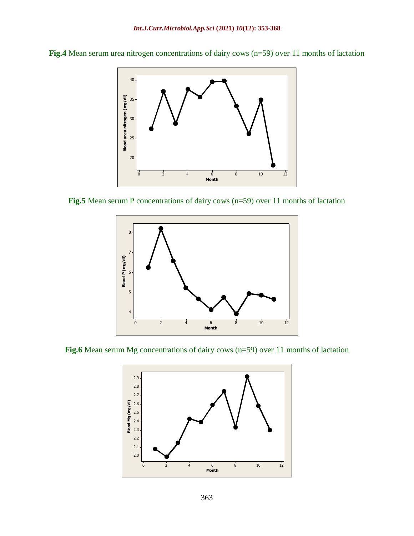



**Fig.5** Mean serum P concentrations of dairy cows (n=59) over 11 months of lactation



**Fig.6** Mean serum Mg concentrations of dairy cows (n=59) over 11 months of lactation

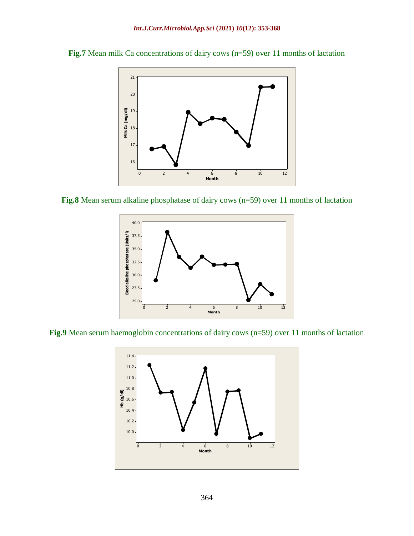



**Fig.8** Mean serum alkaline phosphatase of dairy cows (n=59) over 11 months of lactation



**Fig.9** Mean serum haemoglobin concentrations of dairy cows (n=59) over 11 months of lactation

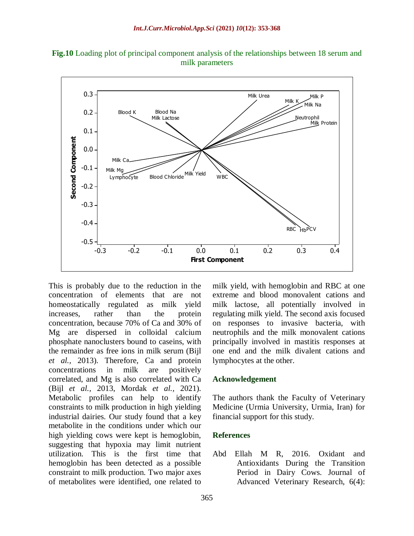



This is probably due to the reduction in the concentration of elements that are not homeostatically regulated as milk yield increases, rather than the protein concentration, because 70% of Ca and 30% of Mg are dispersed in colloidal calcium phosphate nanoclusters bound to caseins, with the remainder as free ions in milk serum (Bijl *et al.,* 2013). Therefore, Ca and protein concentrations in milk are positively correlated, and Mg is also correlated with Ca (Bijl *et al.,* 2013, Mordak *et al.,* 2021). Metabolic profiles can help to identify constraints to milk production in high yielding industrial dairies. Our study found that a key metabolite in the conditions under which our high yielding cows were kept is hemoglobin, suggesting that hypoxia may limit nutrient utilization. This is the first time that hemoglobin has been detected as a possible constraint to milk production. Two major axes of metabolites were identified, one related to

milk yield, with hemoglobin and RBC at one extreme and blood monovalent cations and milk lactose, all potentially involved in regulating milk yield. The second axis focused on responses to invasive bacteria, with neutrophils and the milk monovalent cations principally involved in mastitis responses at one end and the milk divalent cations and lymphocytes at the other.

#### **Acknowledgement**

The authors thank the Faculty of Veterinary Medicine (Urmia University, Urmia, Iran) for financial support for this study.

#### **References**

Abd Ellah M R, 2016. Oxidant and Antioxidants During the Transition Period in Dairy Cows. Journal of Advanced Veterinary Research, 6(4):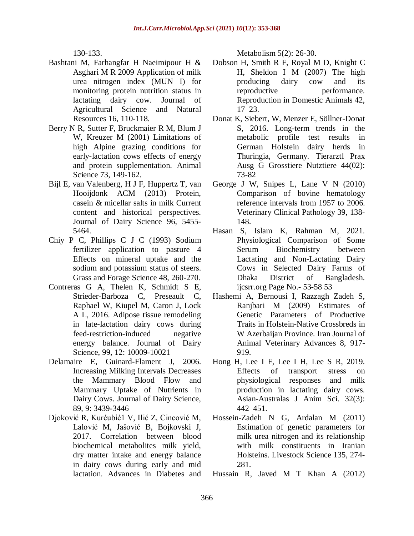130-133.

- Bashtani M, Farhangfar H Naeimipour H & Asghari M R 2009 Application of milk urea nitrogen index (MUN I) for monitoring protein nutrition status in lactating dairy cow. Journal of Agricultural Science and Natural Resources 16, 110-118.
- Berry N R, Sutter F, [Bruckmaier](http://apps.webofknowledge.com.ezproxy.library.uq.edu.au/DaisyOneClickSearch.do?product=WOS&search_mode=DaisyOneClickSearch&colName=WOS&SID=S1AcK9CDbeKfJ99m1aD&author_name=Bruckmaier,%20RM&dais_id=10595959&excludeEventConfig=ExcludeIfFromFullRecPage) R M, Blum J W, [Kreuzer](http://apps.webofknowledge.com.ezproxy.library.uq.edu.au/DaisyOneClickSearch.do?product=WOS&search_mode=DaisyOneClickSearch&colName=WOS&SID=S1AcK9CDbeKfJ99m1aD&author_name=Kreuzer,%20M&dais_id=6051979&excludeEventConfig=ExcludeIfFromFullRecPage) M (2001) Limitations of high Alpine grazing conditions for early-lactation cows effects of energy and protein supplementation. Animal Science 73, 149-162.
- Bijl E, van Valenberg, H J F, Huppertz T, van Hooijdonk ACM (2013) Protein, casein & micellar salts in milk Current content and historical perspectives. Journal of Dairy Science 96, 5455- 5464.
- Chiy P C, Phillips C J C (1993) Sodium fertilizer application to pasture 4 Effects on mineral uptake and the sodium and potassium status of steers. Grass and Forage Science 48, 260-270.
- Contreras G A, Thelen K, Schmidt S E, Strieder-Barboza C, Preseault C, Raphael W, Kiupel M, Caron J, Lock A L, 2016. Adipose tissue remodeling in late-lactation dairy cows during feed-restriction-induced negative energy balance. Journal of Dairy Science, 99, 12: 10009-10021
- Delamaire E, Guinard-Flament J, 2006. Increasing Milking Intervals Decreases the Mammary Blood Flow and Mammary Uptake of Nutrients in Dairy Cows. Journal of Dairy Science, 89, 9: 3439-3446
- Djoković R, Kurćubić1 V, Ilić Z, Cincović M, Lalović M, Jašović B, Bojkovski J, 2017. Correlation between blood biochemical metabolites milk yield, dry matter intake and energy balance in dairy cows during early and mid lactation. Advances in Diabetes and

Metabolism 5(2): 26-30.

- Dobson H, Smith R F, Royal M D, Knight C H, Sheldon I M (2007) The high producing dairy cow and its reproductive performance. [Reproduction](http://www.ncbi.nlm.nih.gov/entrez/eutils/elink.fcgi?dbfrom=pubmed&retmode=ref&cmd=prlinks&id=17688598) in Domestic Animals 42, [17–23.](http://www.ncbi.nlm.nih.gov/entrez/eutils/elink.fcgi?dbfrom=pubmed&retmode=ref&cmd=prlinks&id=17688598)
- Donat K, Siebert, W*,* Menzer E, Söllner-Donat S, 2016. Long-term trends in the metabolic profile test results in German Holstein dairy herds in Thuringia, Germany. Tierarztl Prax Ausg G Grosstiere Nutztiere 44(02): 73-82
- George J W, Snipes L, Lane V N (2010) Comparison of bovine hematology reference intervals from 1957 to 2006. Veterinary Clinical Pathology 39, 138- 148.
- Hasan S, Islam K, Rahman M, 2021. Physiological Comparison of Some Serum Biochemistry between Lactating and Non-Lactating Dairy Cows in Selected Dairy Farms of Dhaka District of Bangladesh. ijcsrr.org Page No.- 53-58 53
- Hashemi A, Bernousi I, Razzagh Zadeh S, Ranjbari M (2009) Estimates of Genetic Parameters of Productive Traits in Holstein-Native Crossbreds in W Azerbaijan Province. Iran Journal of Animal Veterinary Advances 8, 917- 919.
- Hong H, Lee I F, Lee I H, Lee S R, 2019. Effects of transport stress on physiological responses and milk production in lactating dairy cows. Asian-Australas J Anim Sci. 32(3): 442–451.
- Hossein-Zadeh N G, Ardalan M (2011) Estimation of genetic parameters for milk urea nitrogen and its relationship with milk constituents in Iranian Holsteins. Livestock Science 135, 274- 281.
- Hussain R, Javed M T Khan A (2012)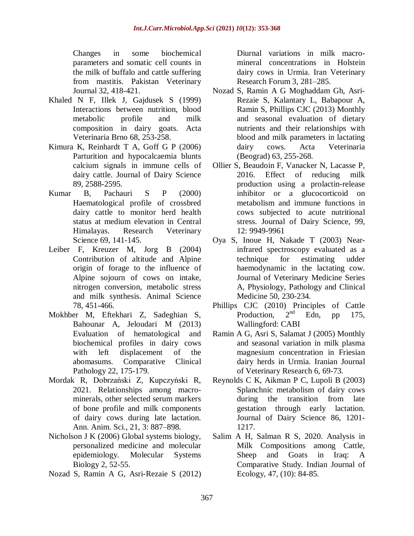Changes in some biochemical parameters and somatic cell counts in the milk of buffalo and cattle suffering from mastitis. Pakistan Veterinary Journal 32, 418-421.

- Khaled N F, Illek J, Gajdusek S (1999) Interactions between nutrition, blood metabolic profile and milk composition in dairy goats. Acta Veterinaria Brno 68, 253-258.
- Kimura K, Reinhardt T A, Goff G P (2006) Parturition and hypocalcaemia blunts calcium signals in immune cells of dairy cattle. Journal of Dairy Science 89, 2588-2595.
- Kumar B, Pachauri S P (2000) Haematological profile of crossbred dairy cattle to monitor herd health status at medium elevation in Central Himalayas. Research Veterinary Science 69, 141-145.
- Leiber F, Kreuzer M, Jorg B (2004) Contribution of altitude and Alpine origin of forage to the influence of Alpine sojourn of cows on intake, nitrogen conversion, metabolic stress and milk synthesis. Animal Science 78, 451-466.
- Mokhber M, Eftekhari Z, Sadeghian S, Bahounar A, Jeloudari M (2013) Evaluation of hematological and biochemical profiles in dairy cows with left displacement of the abomasums. Comparative Clinical Pathology 22, 175-179.
- Mordak R, Dobrzański Z, Kupczyński R, 2021. Relationships among macrominerals, other selected serum markers of bone profile and milk components of dairy cows during late lactation. Ann. Anim. Sci., 21, 3: 887–898.
- Nicholson J K (2006) Global systems biology, personalized medicine and molecular epidemiology. Molecular Systems Biology 2, 52-55.
- Nozad S, Ramin A G, Asri-Rezaie S (2012)

Diurnal variations in milk macromineral concentrations in Holstein dairy cows in Urmia. Iran Veterinary Research Forum 3, 281–285.

- Nozad S, Ramin A G Moghaddam Gh, Asri-Rezaie S, Kalantary L, Babapour A, Ramin S, Phillips CJC (2013) Monthly and seasonal evaluation of dietary nutrients and their relationships with blood and milk parameters in lactating dairy cows. Acta Veterinaria (Beograd) 63, 255-268.
- Ollier S, Beaudoin F, Vanacker N, Lacasse P, 2016. Effect of reducing milk production using a prolactin-release inhibitor or a glucocorticoid on metabolism and immune functions in cows subjected to acute nutritional stress. Journal of Dairy Science, 99, 12: 9949-9961
- Oya S, Inoue H, Nakade T (2003) [Near](http://apps.webofknowledge.com.ezproxy.library.uq.edu.au/full_record.do?product=WOS&search_mode=GeneralSearch&qid=8&SID=S1AcK9CDbeKfJ99m1aD&page=2&doc=84)infrared [spectroscopy](http://apps.webofknowledge.com.ezproxy.library.uq.edu.au/full_record.do?product=WOS&search_mode=GeneralSearch&qid=8&SID=S1AcK9CDbeKfJ99m1aD&page=2&doc=84) evaluated as a technique for [estimating](http://apps.webofknowledge.com.ezproxy.library.uq.edu.au/full_record.do?product=WOS&search_mode=GeneralSearch&qid=8&SID=S1AcK9CDbeKfJ99m1aD&page=2&doc=84) udder [haemodynamic](http://apps.webofknowledge.com.ezproxy.library.uq.edu.au/full_record.do?product=WOS&search_mode=GeneralSearch&qid=8&SID=S1AcK9CDbeKfJ99m1aD&page=2&doc=84) in the lactating cow. Journal of Veterinary Medicine Series A, Physiology, Pathology and Clinical Medicine 50, 230-234.
- Phillips CJC (2010) Principles of Cattle<br>Production.  $2<sup>nd</sup>$  Edn. pp. 175. Production. Edn, pp  $175$ , Wallingford: CABI
- Ramin A G, Asri S, Salamat J (2005) Monthly and seasonal variation in milk plasma magnesium concentration in Friesian dairy herds in Urmia. Iranian Journal of Veterinary Research 6, 69-73.
- Reynolds C K, Aikman P C, Lupoli B (2003) Splanchnic metabolism of dairy cows during the transition from late gestation through early lactation. Journal of Dairy Science 86, 1201- 1217.
- Salim A H, Salman R S, 2020. Analysis in Milk Compositions among Cattle, Sheep and Goats in Iraq: A Comparative Study. Indian Journal of Ecology, 47, (10): 84-85.